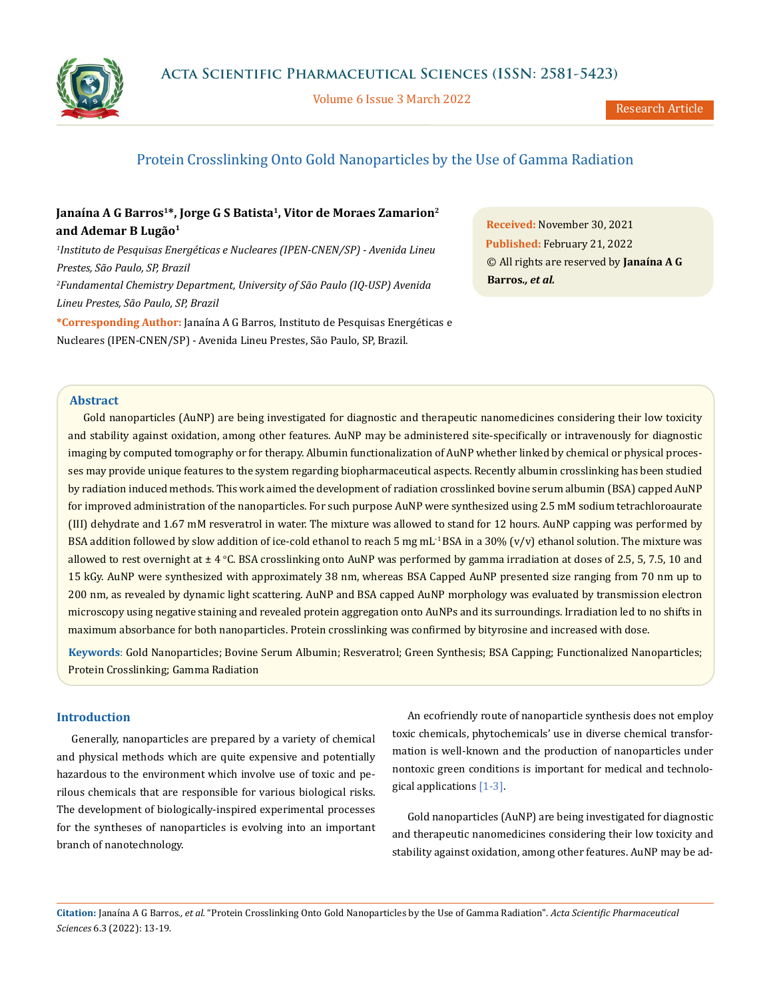

Volume 6 Issue 3 March 2022

# Protein Crosslinking Onto Gold Nanoparticles by the Use of Gamma Radiation

# Janaína A G Barros<sup>1\*</sup>, Jorge G S Batista<sup>1</sup>, Vitor de Moraes Zamarion<sup>2</sup> **and Ademar B Lugão1**

*1 Instituto de Pesquisas Energéticas e Nucleares (IPEN-CNEN/SP) - Avenida Lineu Prestes, São Paulo, SP, Brazil 2 Fundamental Chemistry Department, University of São Paulo (IQ-USP) Avenida Lineu Prestes, São Paulo, SP, Brazil*

**\*Corresponding Author:** Janaína A G Barros, Instituto de Pesquisas Energéticas e Nucleares (IPEN-CNEN/SP) - Avenida Lineu Prestes, São Paulo, SP, Brazil.

**Received:** November 30, 2021 **Published:** February 21, 2022 © All rights are reserved by **Janaína A G Barros***., et al.*

### **Abstract**

Gold nanoparticles (AuNP) are being investigated for diagnostic and therapeutic nanomedicines considering their low toxicity and stability against oxidation, among other features. AuNP may be administered site-specifically or intravenously for diagnostic imaging by computed tomography or for therapy. Albumin functionalization of AuNP whether linked by chemical or physical processes may provide unique features to the system regarding biopharmaceutical aspects. Recently albumin crosslinking has been studied by radiation induced methods. This work aimed the development of radiation crosslinked bovine serum albumin (BSA) capped AuNP for improved administration of the nanoparticles. For such purpose AuNP were synthesized using 2.5 mM sodium tetrachloroaurate (III) dehydrate and 1.67 mM resveratrol in water. The mixture was allowed to stand for 12 hours. AuNP capping was performed by BSA addition followed by slow addition of ice-cold ethanol to reach 5 mg mL<sup>-1</sup> BSA in a 30% (v/v) ethanol solution. The mixture was allowed to rest overnight at  $\pm 4$  °C. BSA crosslinking onto AuNP was performed by gamma irradiation at doses of 2.5, 5, 7.5, 10 and 15 kGy. AuNP were synthesized with approximately 38 nm, whereas BSA Capped AuNP presented size ranging from 70 nm up to 200 nm, as revealed by dynamic light scattering. AuNP and BSA capped AuNP morphology was evaluated by transmission electron microscopy using negative staining and revealed protein aggregation onto AuNPs and its surroundings. Irradiation led to no shifts in maximum absorbance for both nanoparticles. Protein crosslinking was confirmed by bityrosine and increased with dose.

**Keywords**: Gold Nanoparticles; Bovine Serum Albumin; Resveratrol; Green Synthesis; BSA Capping; Functionalized Nanoparticles; Protein Crosslinking; Gamma Radiation

## **Introduction**

Generally, nanoparticles are prepared by a variety of chemical and physical methods which are quite expensive and potentially hazardous to the environment which involve use of toxic and perilous chemicals that are responsible for various biological risks. The development of biologically-inspired experimental processes for the syntheses of nanoparticles is evolving into an important branch of nanotechnology.

An ecofriendly route of nanoparticle synthesis does not employ toxic chemicals, phytochemicals' use in diverse chemical transformation is well-known and the production of nanoparticles under nontoxic green conditions is important for medical and technological applications [1-3].

Gold nanoparticles (AuNP) are being investigated for diagnostic and therapeutic nanomedicines considering their low toxicity and stability against oxidation, among other features. AuNP may be ad-

**Citation:** Janaína A G Barros*., et al.* "Protein Crosslinking Onto Gold Nanoparticles by the Use of Gamma Radiation". *Acta Scientific Pharmaceutical Sciences* 6.3 (2022): 13-19.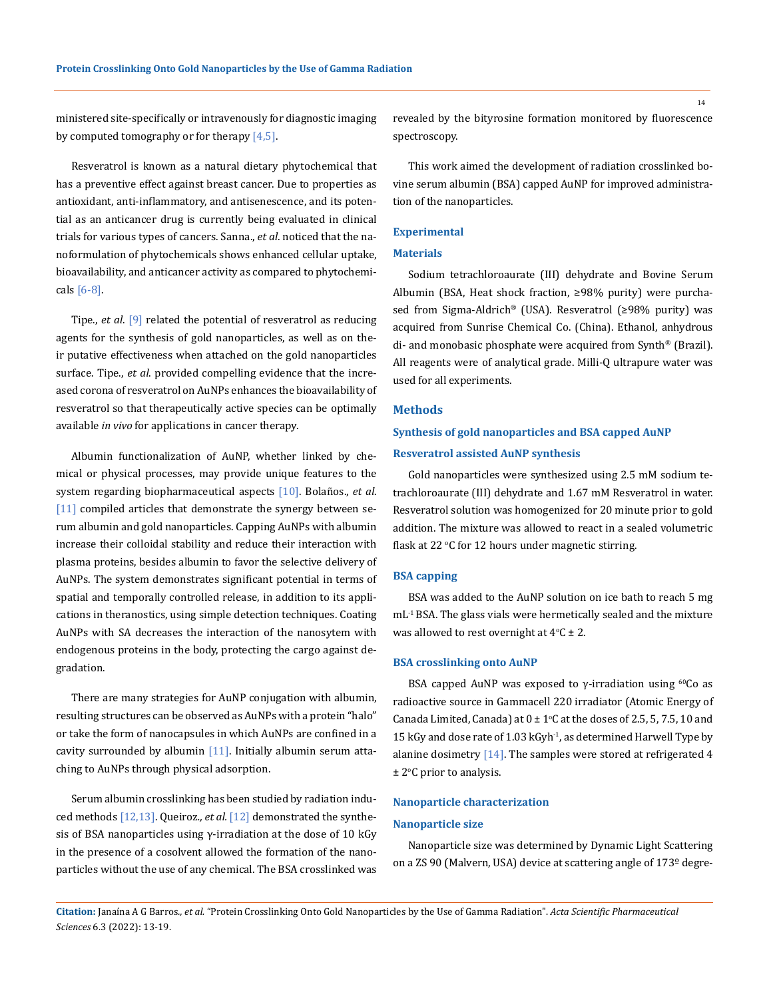ministered site-specifically or intravenously for diagnostic imaging by computed tomography or for therapy  $[4,5]$ .

Resveratrol is known as a natural dietary phytochemical that has a preventive effect against breast cancer. Due to properties as antioxidant, anti-inflammatory, and antisenescence, and its potential as an anticancer drug is currently being evaluated in clinical trials for various types of cancers. Sanna., *et al*. noticed that the nanoformulation of phytochemicals shows enhanced cellular uptake, bioavailability, and anticancer activity as compared to phytochemicals  $[6-8]$ .

Tipe., *et al*. [9] related the potential of resveratrol as reducing agents for the synthesis of gold nanoparticles, as well as on their putative effectiveness when attached on the gold nanoparticles surface. Tipe., *et al*. provided compelling evidence that the increased corona of resveratrol on AuNPs enhances the bioavailability of resveratrol so that therapeutically active species can be optimally available *in vivo* for applications in cancer therapy.

Albumin functionalization of AuNP, whether linked by chemical or physical processes, may provide unique features to the system regarding biopharmaceutical aspects [10]. Bolaños., *et al*. [11] compiled articles that demonstrate the synergy between serum albumin and gold nanoparticles. Capping AuNPs with albumin increase their colloidal stability and reduce their interaction with plasma proteins, besides albumin to favor the selective delivery of AuNPs. The system demonstrates significant potential in terms of spatial and temporally controlled release, in addition to its applications in theranostics, using simple detection techniques. Coating AuNPs with SA decreases the interaction of the nanosytem with endogenous proteins in the body, protecting the cargo against degradation.

There are many strategies for AuNP conjugation with albumin, resulting structures can be observed as AuNPs with a protein "halo" or take the form of nanocapsules in which AuNPs are confined in a cavity surrounded by albumin  $[11]$ . Initially albumin serum attaching to AuNPs through physical adsorption.

Serum albumin crosslinking has been studied by radiation induced methods [12,13]. Queiroz*., et al.* [12] demonstrated the synthesis of BSA nanoparticles using  $\gamma$ -irradiation at the dose of 10 kGy in the presence of a cosolvent allowed the formation of the nanoparticles without the use of any chemical. The BSA crosslinked was revealed by the bityrosine formation monitored by fluorescence spectroscopy.

This work aimed the development of radiation crosslinked bovine serum albumin (BSA) capped AuNP for improved administration of the nanoparticles.

#### **Experimental**

## **Materials**

Sodium tetrachloroaurate (III) dehydrate and Bovine Serum Albumin (BSA, Heat shock fraction, ≥98% purity) were purchased from Sigma-Aldrich® (USA). Resveratrol (≥98% purity) was acquired from Sunrise Chemical Co. (China). Ethanol, anhydrous di- and monobasic phosphate were acquired from Synth® (Brazil). All reagents were of analytical grade. Milli-Q ultrapure water was used for all experiments.

## **Methods**

# **Synthesis of gold nanoparticles and BSA capped AuNP Resveratrol assisted AuNP synthesis**

Gold nanoparticles were synthesized using 2.5 mM sodium tetrachloroaurate (III) dehydrate and 1.67 mM Resveratrol in water. Resveratrol solution was homogenized for 20 minute prior to gold addition. The mixture was allowed to react in a sealed volumetric flask at 22 °C for 12 hours under magnetic stirring.

#### **BSA capping**

BSA was added to the AuNP solution on ice bath to reach 5 mg mL-1 BSA. The glass vials were hermetically sealed and the mixture was allowed to rest overnight at  $4^{\circ}$ C  $\pm$  2.

#### **BSA crosslinking onto AuNP**

BSA capped AuNP was exposed to  $γ$ -irradiation using <sup>60</sup>Co as radioactive source in Gammacell 220 irradiator (Atomic Energy of Canada Limited, Canada) at  $0 \pm 1$ °C at the doses of 2.5, 5, 7.5, 10 and 15 kGy and dose rate of 1.03 kGyh-1, as determined Harwell Type by alanine dosimetry [14]. The samples were stored at refrigerated 4  $\pm$  2°C prior to analysis.

### **Nanoparticle characterization**

#### **Nanoparticle size**

Nanoparticle size was determined by Dynamic Light Scattering on a ZS 90 (Malvern, USA) device at scattering angle of 173º degre-

**Citation:** Janaína A G Barros*., et al.* "Protein Crosslinking Onto Gold Nanoparticles by the Use of Gamma Radiation". *Acta Scientific Pharmaceutical Sciences* 6.3 (2022): 13-19.

14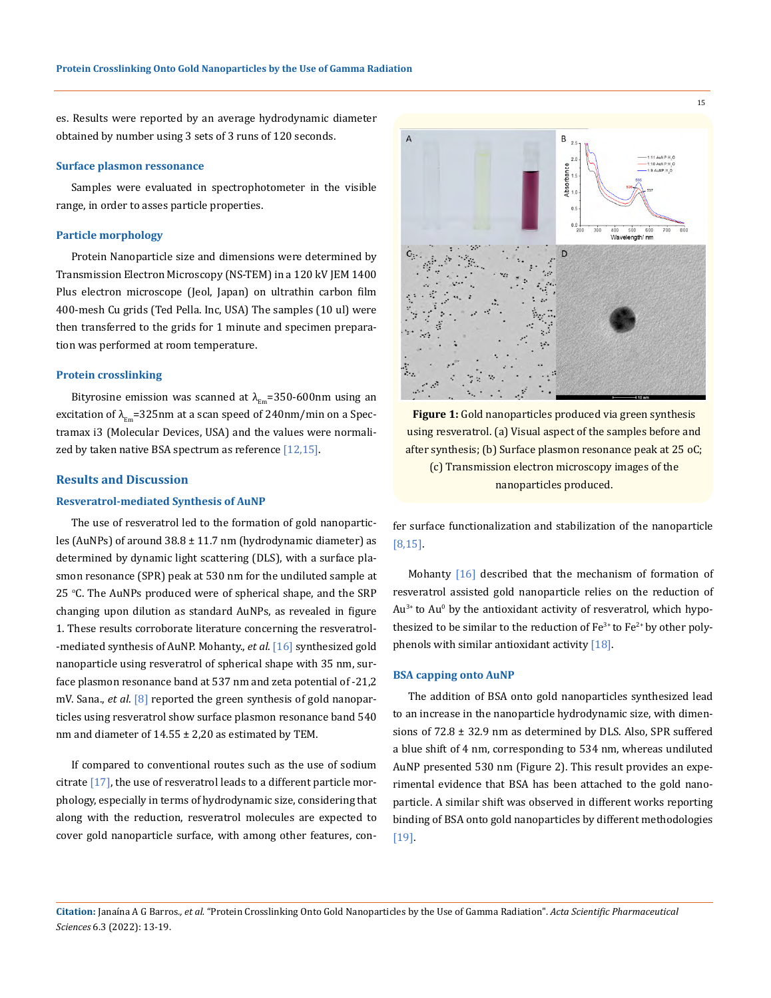es. Results were reported by an average hydrodynamic diameter obtained by number using 3 sets of 3 runs of 120 seconds.

#### **Surface plasmon ressonance**

Samples were evaluated in spectrophotometer in the visible range, in order to asses particle properties.

#### **Particle morphology**

Protein Nanoparticle size and dimensions were determined by Transmission Electron Microscopy (NS-TEM) in a 120 kV JEM 1400 Plus electron microscope (Jeol, Japan) on ultrathin carbon film 400-mesh Cu grids (Ted Pella. Inc, USA) The samples (10 ul) were then transferred to the grids for 1 minute and specimen preparation was performed at room temperature.

#### **Protein crosslinking**

Bityrosine emission was scanned at  $\lambda_{\text{Em}}$ =350-600nm using an excitation of  $\lambda_{\text{Em}}$ =325nm at a scan speed of 240nm/min on a Spectramax i3 (Molecular Devices, USA) and the values were normalized by taken native BSA spectrum as reference [12,15].

## **Results and Discussion**

#### **Resveratrol-mediated Synthesis of AuNP**

The use of resveratrol led to the formation of gold nanoparticles (AuNPs) of around 38.8 ± 11.7 nm (hydrodynamic diameter) as determined by dynamic light scattering (DLS), with a surface plasmon resonance (SPR) peak at 530 nm for the undiluted sample at 25 °C. The AuNPs produced were of spherical shape, and the SRP changing upon dilution as standard AuNPs, as revealed in figure 1. These results corroborate literature concerning the resveratrol- -mediated synthesis of AuNP. Mohanty., *et al*. [16] synthesized gold nanoparticle using resveratrol of spherical shape with 35 nm, surface plasmon resonance band at 537 nm and zeta potential of -21,2 mV. Sana., *et al*. [8] reported the green synthesis of gold nanoparticles using resveratrol show surface plasmon resonance band 540 nm and diameter of  $14.55 \pm 2.20$  as estimated by TEM.

If compared to conventional routes such as the use of sodium citrate [17], the use of resveratrol leads to a different particle morphology, especially in terms of hydrodynamic size, considering that along with the reduction, resveratrol molecules are expected to cover gold nanoparticle surface, with among other features, con-



using resveratrol. (a) Visual aspect of the samples before and after synthesis; (b) Surface plasmon resonance peak at 25 oC; (c) Transmission electron microscopy images of the nanoparticles produced.

fer surface functionalization and stabilization of the nanoparticle [8,15].

Mohanty [16] described that the mechanism of formation of resveratrol assisted gold nanoparticle relies on the reduction of  $Au^{3+}$  to  $Au^{0}$  by the antioxidant activity of resveratrol, which hypothesized to be similar to the reduction of  $Fe^{3+}$  to  $Fe^{2+}$  by other polyphenols with similar antioxidant activity [18].

#### **BSA capping onto AuNP**

The addition of BSA onto gold nanoparticles synthesized lead to an increase in the nanoparticle hydrodynamic size, with dimensions of 72.8 ± 32.9 nm as determined by DLS. Also, SPR suffered a blue shift of 4 nm, corresponding to 534 nm, whereas undiluted AuNP presented 530 nm (Figure 2). This result provides an experimental evidence that BSA has been attached to the gold nanoparticle. A similar shift was observed in different works reporting binding of BSA onto gold nanoparticles by different methodologies [19].

**Citation:** Janaína A G Barros*., et al.* "Protein Crosslinking Onto Gold Nanoparticles by the Use of Gamma Radiation". *Acta Scientific Pharmaceutical Sciences* 6.3 (2022): 13-19.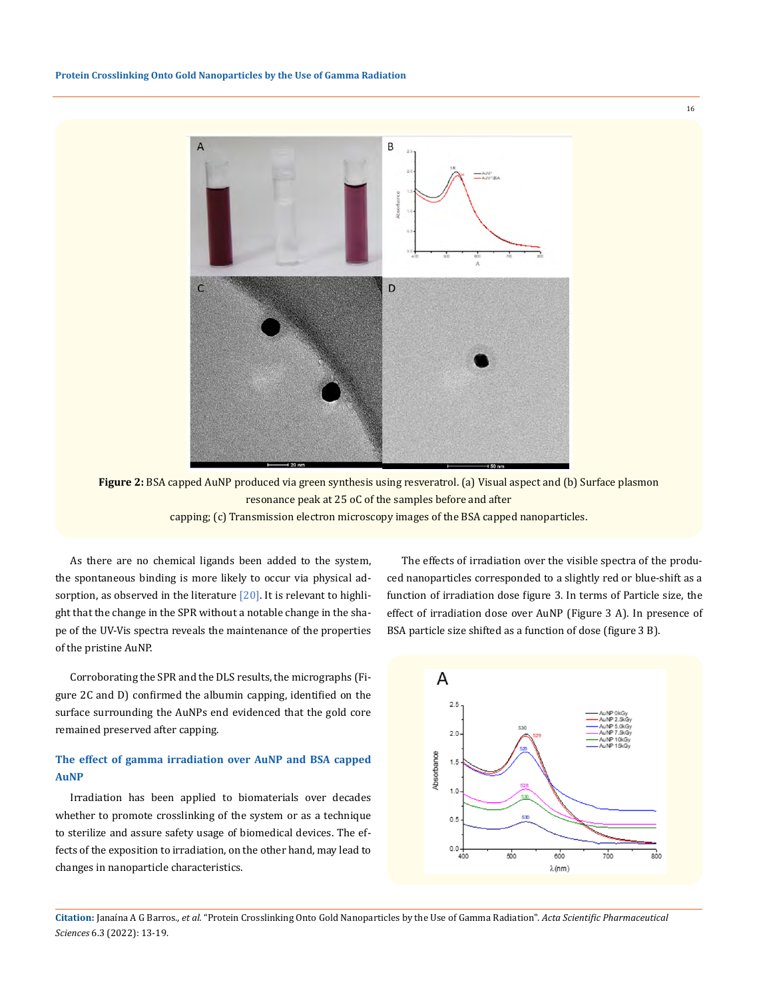16



**Figure 2:** BSA capped AuNP produced via green synthesis using resveratrol. (a) Visual aspect and (b) Surface plasmon resonance peak at 25 oC of the samples before and after capping; (c) Transmission electron microscopy images of the BSA capped nanoparticles.

As there are no chemical ligands been added to the system, the spontaneous binding is more likely to occur via physical adsorption, as observed in the literature  $[20]$ . It is relevant to highlight that the change in the SPR without a notable change in the shape of the UV-Vis spectra reveals the maintenance of the properties of the pristine AuNP.

Corroborating the SPR and the DLS results, the micrographs (Figure 2C and D) confirmed the albumin capping, identified on the surface surrounding the AuNPs end evidenced that the gold core remained preserved after capping.

## **The effect of gamma irradiation over AuNP and BSA capped AuNP**

Irradiation has been applied to biomaterials over decades whether to promote crosslinking of the system or as a technique to sterilize and assure safety usage of biomedical devices. The effects of the exposition to irradiation, on the other hand, may lead to changes in nanoparticle characteristics.

The effects of irradiation over the visible spectra of the produced nanoparticles corresponded to a slightly red or blue-shift as a function of irradiation dose figure 3. In terms of Particle size, the effect of irradiation dose over AuNP (Figure 3 A). In presence of BSA particle size shifted as a function of dose (figure 3 B).



**Citation:** Janaína A G Barros*., et al.* "Protein Crosslinking Onto Gold Nanoparticles by the Use of Gamma Radiation". *Acta Scientific Pharmaceutical Sciences* 6.3 (2022): 13-19.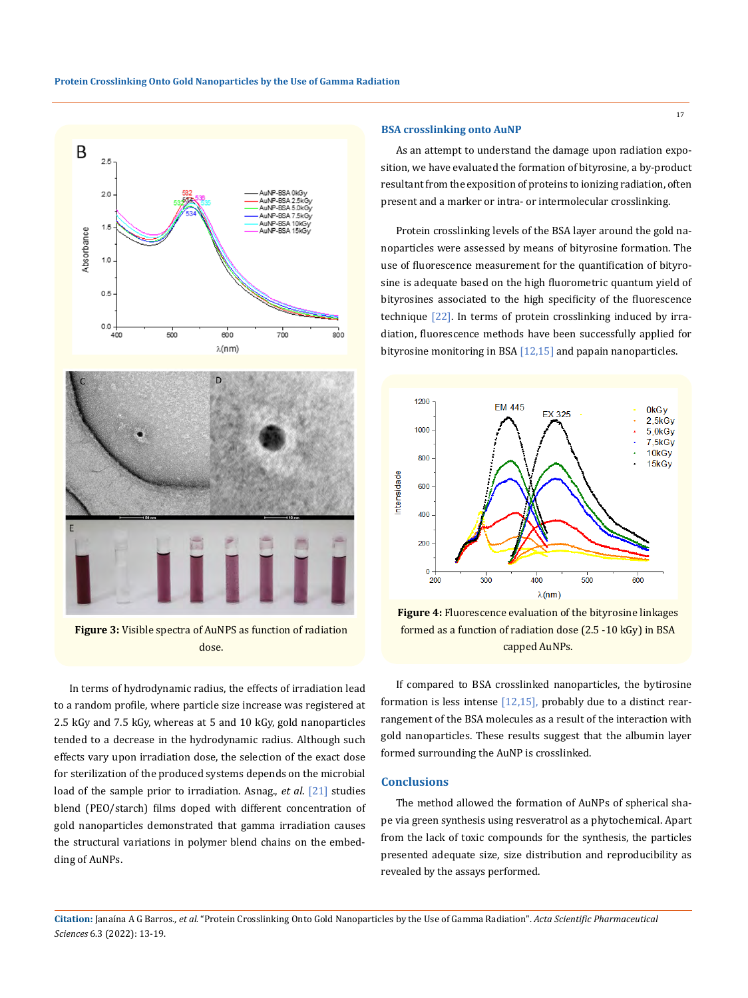



**Figure 3:** Visible spectra of AuNPS as function of radiation dose.

In terms of hydrodynamic radius, the effects of irradiation lead to a random profile, where particle size increase was registered at 2.5 kGy and 7.5 kGy, whereas at 5 and 10 kGy, gold nanoparticles tended to a decrease in the hydrodynamic radius. Although such effects vary upon irradiation dose, the selection of the exact dose for sterilization of the produced systems depends on the microbial load of the sample prior to irradiation. Asnag., *et al*. [21] studies blend (PEO/starch) films doped with different concentration of gold nanoparticles demonstrated that gamma irradiation causes the structural variations in polymer blend chains on the embedding of AuNPs.

#### **BSA crosslinking onto AuNP**

As an attempt to understand the damage upon radiation exposition, we have evaluated the formation of bityrosine, a by-product resultant from the exposition of proteins to ionizing radiation, often present and a marker or intra- or intermolecular crosslinking.

Protein crosslinking levels of the BSA layer around the gold nanoparticles were assessed by means of bityrosine formation. The use of fluorescence measurement for the quantification of bityrosine is adequate based on the high fluorometric quantum yield of bityrosines associated to the high specificity of the fluorescence technique [22]. In terms of protein crosslinking induced by irradiation, fluorescence methods have been successfully applied for bityrosine monitoring in BSA  $[12,15]$  and papain nanoparticles.



**Figure 4:** Fluorescence evaluation of the bityrosine linkages formed as a function of radiation dose (2.5 -10 kGy) in BSA capped AuNPs.

If compared to BSA crosslinked nanoparticles, the bytirosine formation is less intense [12,15], probably due to a distinct rearrangement of the BSA molecules as a result of the interaction with gold nanoparticles. These results suggest that the albumin layer formed surrounding the AuNP is crosslinked.

## **Conclusions**

The method allowed the formation of AuNPs of spherical shape via green synthesis using resveratrol as a phytochemical. Apart from the lack of toxic compounds for the synthesis, the particles presented adequate size, size distribution and reproducibility as revealed by the assays performed.

**Citation:** Janaína A G Barros*., et al.* "Protein Crosslinking Onto Gold Nanoparticles by the Use of Gamma Radiation". *Acta Scientific Pharmaceutical Sciences* 6.3 (2022): 13-19.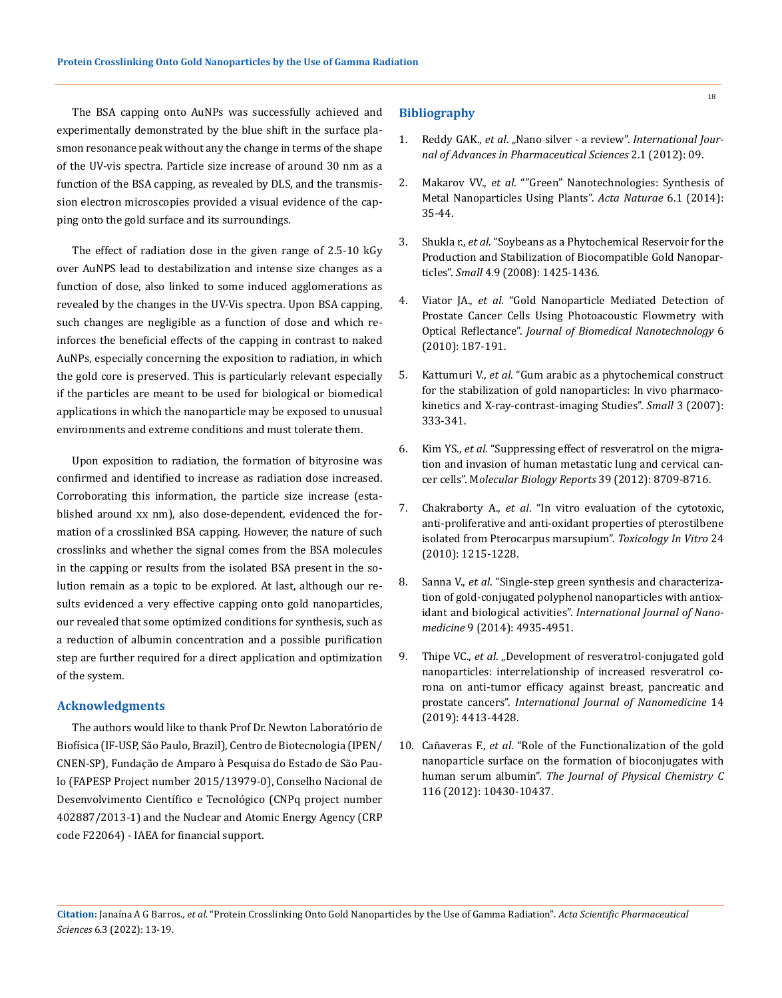The BSA capping onto AuNPs was successfully achieved and experimentally demonstrated by the blue shift in the surface plasmon resonance peak without any the change in terms of the shape of the UV-vis spectra. Particle size increase of around 30 nm as a function of the BSA capping, as revealed by DLS, and the transmission electron microscopies provided a visual evidence of the capping onto the gold surface and its surroundings.

The effect of radiation dose in the given range of 2.5-10 kGy over AuNPS lead to destabilization and intense size changes as a function of dose, also linked to some induced agglomerations as revealed by the changes in the UV-Vis spectra. Upon BSA capping, such changes are negligible as a function of dose and which reinforces the beneficial effects of the capping in contrast to naked AuNPs, especially concerning the exposition to radiation, in which the gold core is preserved. This is particularly relevant especially if the particles are meant to be used for biological or biomedical applications in which the nanoparticle may be exposed to unusual environments and extreme conditions and must tolerate them.

Upon exposition to radiation, the formation of bityrosine was confirmed and identified to increase as radiation dose increased. Corroborating this information, the particle size increase (established around xx nm), also dose-dependent, evidenced the formation of a crosslinked BSA capping. However, the nature of such crosslinks and whether the signal comes from the BSA molecules in the capping or results from the isolated BSA present in the solution remain as a topic to be explored. At last, although our results evidenced a very effective capping onto gold nanoparticles, our revealed that some optimized conditions for synthesis, such as a reduction of albumin concentration and a possible purification step are further required for a direct application and optimization of the system.

## **Acknowledgments**

The authors would like to thank Prof Dr. Newton Laboratório de Biofísica (IF-USP, São Paulo, Brazil), Centro de Biotecnologia (IPEN/ CNEN-SP), Fundação de Amparo à Pesquisa do Estado de São Paulo (FAPESP Project number 2015/13979-0), Conselho Nacional de Desenvolvimento Científico e Tecnológico (CNPq project number 402887/2013-1) and the Nuclear and Atomic Energy Agency (CRP code F22064) - IAEA for financial support.

### **Bibliography**

- 1. Reddy GAK., *et al*. "Nano silver a review". *International Journal of Advances in Pharmaceutical Sciences* 2.1 (2012): 09.
- 2. Makarov VV., *et al*[. ""Green" Nanotechnologies: Synthesis of](https://www.ncbi.nlm.nih.gov/pmc/articles/PMC3999464/)  [Metal Nanoparticles Using Plants".](https://www.ncbi.nlm.nih.gov/pmc/articles/PMC3999464/) *Acta Naturae* 6.1 (2014): [35-44.](https://www.ncbi.nlm.nih.gov/pmc/articles/PMC3999464/)
- 3. Shukla r., *et al*. "Soybeans as a Phytochemical Reservoir for the Production and Stabilization of Biocompatible Gold Nanoparticles". *Small* 4.9 (2008): 1425-1436.
- 4. Viator JA., *et al*[. "Gold Nanoparticle Mediated Detection of](https://pubmed.ncbi.nlm.nih.gov/20738074/)  [Prostate Cancer Cells Using Photoacoustic Flowmetry with](https://pubmed.ncbi.nlm.nih.gov/20738074/)  Optical Reflectance". *[Journal of Biomedical Nanotechnology](https://pubmed.ncbi.nlm.nih.gov/20738074/)* 6 [\(2010\): 187-191.](https://pubmed.ncbi.nlm.nih.gov/20738074/)
- 5. Kattumuri V., *et al*[. "Gum arabic as a phytochemical construct](https://www.researchgate.net/publication/6541106_Gum_Arabic_as_a_Phytochemical_Construct_for_the_Stabilization_of_Gold_Nanoparticles_In_Vivo_Pharmacokinetics_and_X-ray-Contrast-Imaging_Studies)  [for the stabilization of gold nanoparticles: In vivo pharmaco](https://www.researchgate.net/publication/6541106_Gum_Arabic_as_a_Phytochemical_Construct_for_the_Stabilization_of_Gold_Nanoparticles_In_Vivo_Pharmacokinetics_and_X-ray-Contrast-Imaging_Studies)[kinetics and X-ray-contrast-imaging Studies".](https://www.researchgate.net/publication/6541106_Gum_Arabic_as_a_Phytochemical_Construct_for_the_Stabilization_of_Gold_Nanoparticles_In_Vivo_Pharmacokinetics_and_X-ray-Contrast-Imaging_Studies) *Small* 3 (2007): [333-341.](https://www.researchgate.net/publication/6541106_Gum_Arabic_as_a_Phytochemical_Construct_for_the_Stabilization_of_Gold_Nanoparticles_In_Vivo_Pharmacokinetics_and_X-ray-Contrast-Imaging_Studies)
- 6. Kim YS., *et al*[. "Suppressing effect of resveratrol on the migra](https://europepmc.org/article/MED/22696189)[tion and invasion of human metastatic lung and cervical can](https://europepmc.org/article/MED/22696189)cer cells". M*[olecular Biology Reports](https://europepmc.org/article/MED/22696189)* 39 (2012): 8709-8716.
- 7. Chakraborty A., *et al*. "In vitro evaluation of the cytotoxic, anti-proliferative and anti-oxidant properties of pterostilbene isolated from Pterocarpus marsupium". *Toxicology In Vitro* 24 (2010): 1215-1228.
- 8. Sanna V., *et al*[. "Single-step green synthesis and characteriza](https://www.ncbi.nlm.nih.gov/pmc/articles/PMC4211914/)[tion of gold-conjugated polyphenol nanoparticles with antiox](https://www.ncbi.nlm.nih.gov/pmc/articles/PMC4211914/)idant and biological activities". *[International Journal of Nano](https://www.ncbi.nlm.nih.gov/pmc/articles/PMC4211914/)medicine* [9 \(2014\): 4935-4951.](https://www.ncbi.nlm.nih.gov/pmc/articles/PMC4211914/)
- 9. Thipe VC., *et al.* "Development of resveratrol-conjugated gold nanoparticles: interrelationship of increased resveratrol corona on anti-tumor efficacy against breast, pancreatic and prostate cancers". *International Journal of Nanomedicine* 14 (2019): 4413-4428.
- 10. Cañaveras F., *et al*[. "Role of the Functionalization of the gold](https://pubs.acs.org/doi/10.1021/jp3021497)  [nanoparticle surface on the formation of bioconjugates with](https://pubs.acs.org/doi/10.1021/jp3021497)  human serum albumin". *[The Journal of Physical Chemistry C](https://pubs.acs.org/doi/10.1021/jp3021497)*  [116 \(2012\): 10430-10437.](https://pubs.acs.org/doi/10.1021/jp3021497)